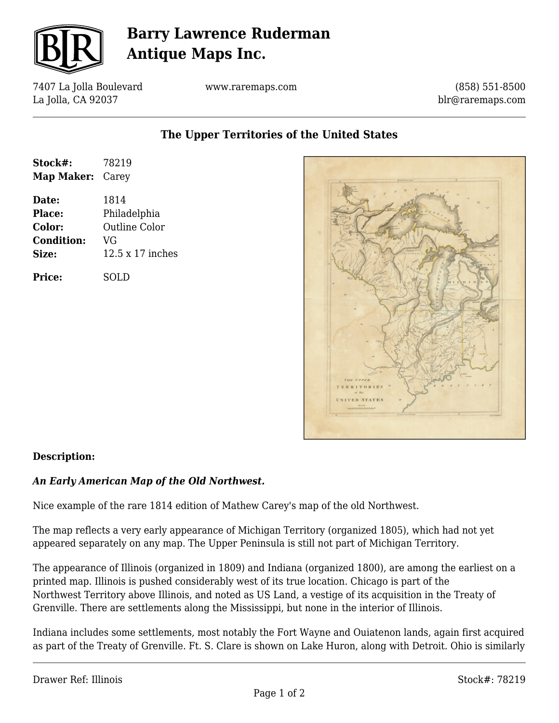

# **Barry Lawrence Ruderman Antique Maps Inc.**

7407 La Jolla Boulevard La Jolla, CA 92037

www.raremaps.com

(858) 551-8500 blr@raremaps.com

**The Upper Territories of the United States**

| Stock#:<br>Map Maker: Carey | 78219                         |
|-----------------------------|-------------------------------|
| Date:<br>Place:             | 1814                          |
| Color:                      | Philadelphia<br>Outline Color |
| <b>Condition:</b><br>Size:  | VG<br>12.5 x 17 inches        |
| Price:                      | SOLD                          |



### **Description:**

#### *An Early American Map of the Old Northwest.*

Nice example of the rare 1814 edition of Mathew Carey's map of the old Northwest.

The map reflects a very early appearance of Michigan Territory (organized 1805), which had not yet appeared separately on any map. The Upper Peninsula is still not part of Michigan Territory.

The appearance of Illinois (organized in 1809) and Indiana (organized 1800), are among the earliest on a printed map. Illinois is pushed considerably west of its true location. Chicago is part of the Northwest Territory above Illinois, and noted as US Land, a vestige of its acquisition in the Treaty of Grenville. There are settlements along the Mississippi, but none in the interior of Illinois.

Indiana includes some settlements, most notably the Fort Wayne and Ouiatenon lands, again first acquired as part of the Treaty of Grenville. Ft. S. Clare is shown on Lake Huron, along with Detroit. Ohio is similarly